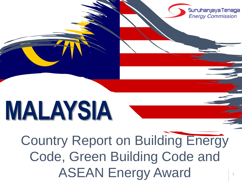

# **MALAYSIA**

Country Report on Building Energy Code, Green Building Code and ASEAN Energy Award

1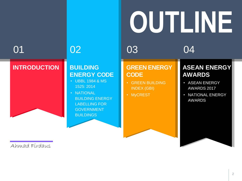

#### **INTRODUCTION BUILDING**

### **ENERGY CODE**

- UBBL 1984 & MS 1525: 2014
- NATIONAL BUILDING ENERGY LABELLING FOR GOVERNMENT **BUILDINGS**

#### **GREEN ENERGY CODE**

- GREEN BUILDING INDEX (GBI)
- MyCREST

#### **ASEAN ENERGY AWARDS**

- ASEAN ENERGY AWARDS 2017
- NATIONAL ENERGY AWARDS

Ahmad Firdaus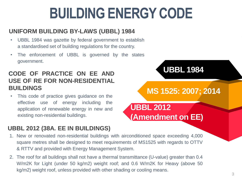### **BUILDING ENERGY CODE**

#### **UNIFORM BUILDING BY-LAWS (UBBL) 1984**

- UBBL 1984 was gazette by federal government to establish a standardised set of building regulations for the country.
- The enforcement of UBBL is governed by the states government.

#### **CODE OF PRACTICE ON EE AND USE OF RE FOR NON-RESIDENTIAL BUILDINGS**

• This code of practice gives guidance on the effective use of energy including the application of renewable energy in new and existing non-residential buildings.

#### **UBBL 2012 (38A. EE IN BUILDINGS)**

- 1. New or renovated non-residential buildings with airconditioned space exceeding 4,000 square metres shall be designed to meet requirements of MS1525 with regards to OTTV & RTTV and provided with Energy Management System.
- 2. The roof for all buildings shall not have a thermal transmittance (U-value) greater than 0.4 W/m2K for Light (under 50 kg/m2) weight roof; and 0.6 W/m2K for Heavy (above 50 kg/m2) weight roof, unless provided with other shading or cooling means.

**UBBL 1984**

**MS 1525: 2007; 2014**

**UBBL 2012**

**(Amendment on EE)**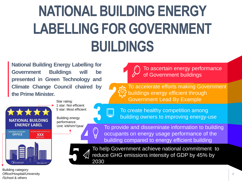## **NATIONAL BUILDING ENERGY LABELLING FOR GOVERNMENT BUILDINGS**

**National Building Energy Labelling for Government Buildings will be presented in Green Technology and Climate Change Council chaired by the Prime Minister.**



Star rating: 1 star: Not efficient 5 star: Most efficient

Building energy performance Unit: kWh/m<sup>2</sup>/year





To ascertain energy performance of Government buildings

To accelerate efforts making Government buildings energy efficient through Government Lead By Example



To create healthy competition among building owners to improving energy-use

To provide and disseminate information to building occupants on energy usage performance of the building compared to energy efficient building



To help Government achieve national commitment to reduce GHG emissions intensity of GDP by 45% by 2030

Building category: Office/Hospital/University /School & others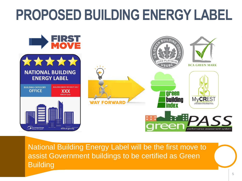### **PROPOSED BUILDING ENERGY LABEL**



National Building Energy Label will be the first move to assist Government buildings to be certified as Green **Building**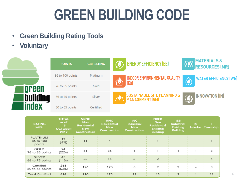### **GREEN BUILDING CODE**

- **Green Building Rating Tools**
- **Voluntary**



| <b>RATING</b><br>Level           | <b>TOTAL</b><br>as of<br>15<br><b>OCTOBER</b><br>2017 | <b>NRNC</b><br><b>Non</b><br><b>Residential</b><br><b>New</b><br><b>Construction</b> | <b>RNC</b><br>Residential<br><b>New</b><br><b>Construction</b> | <b>INC</b><br><b>Industrial</b><br><b>New</b><br><b>Construction</b> | <b>NREB</b><br><b>Non</b><br><b>Residential</b><br><b>Existing</b><br><b>Building</b> | <b>IEB</b><br><b>Industrial</b><br><b>Existing</b><br><b>Building</b> | ID<br><b>Interior</b> | Township |
|----------------------------------|-------------------------------------------------------|--------------------------------------------------------------------------------------|----------------------------------------------------------------|----------------------------------------------------------------------|---------------------------------------------------------------------------------------|-----------------------------------------------------------------------|-----------------------|----------|
| PLATINUM<br>86 to 100<br>points  | 17<br>(4%)                                            | 11                                                                                   | 4                                                              |                                                                      |                                                                                       |                                                                       |                       |          |
| GOLD<br>76 to 85 points          | 94<br>(22%)                                           | 51                                                                                   | 36                                                             |                                                                      |                                                                                       |                                                                       |                       | 3        |
| <b>SILVER</b><br>66 to 75 points | 45<br>(11%)                                           | 22                                                                                   | 15                                                             | $\overline{2}$                                                       | $\overline{2}$                                                                        |                                                                       |                       |          |
| Certified<br>50 to 65 points     | 268<br>(63%)                                          | 126                                                                                  | 120                                                            | 8                                                                    | 9                                                                                     | 2                                                                     |                       | 3        |
| <b>Total Certified</b>           | 424                                                   | 210                                                                                  | 175                                                            | 11                                                                   | 13                                                                                    | 3                                                                     |                       | 11       |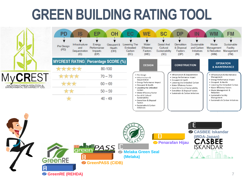### **GREEN BUILDING RATING TOOL**

| <b>MyCREST</b> |                                                                   |  |  |
|----------------|-------------------------------------------------------------------|--|--|
|                | MALAYSIAN CARBON REDUCTION &<br>ENVIRONMENTAL SUSTAINABILITY TOOL |  |  |

| PD                 | IS                                            | EP                                         | <b>OH</b>                    | EС                                         | <b>WE</b>                                                                                             | <b>SC</b>                                        | <b>DP</b>                                                                                                   | IN                                               | WM                                                              | <b>FM</b>                                                     |
|--------------------|-----------------------------------------------|--------------------------------------------|------------------------------|--------------------------------------------|-------------------------------------------------------------------------------------------------------|--------------------------------------------------|-------------------------------------------------------------------------------------------------------------|--------------------------------------------------|-----------------------------------------------------------------|---------------------------------------------------------------|
| Pre Design<br>(PD) | Infrastructure<br>and<br>Sequestration<br>(S) | Energy<br>Performance<br>Impacts<br>(EP)   | Occupant &<br>Health<br>(OH) | Lowering The<br>Embodied<br>Carbon<br>(EC) | Water<br>Efficiency<br>Factors<br>(WE)                                                                | Social And<br>Cultural<br>Sustainability<br>(SC) | Demolition<br>& Disposal<br>Factors<br>(DP)                                                                 | Sustainable<br>and Carbon<br>Initiatives<br>(IN) | Waste<br>Management<br>& Reduction<br>(WM)                      | Sustainable<br>Facility<br>Management<br>(FM)                 |
|                    |                                               | <b>MYCREST RATING Percentage SCORE (%)</b> |                              |                                            | <b>DESIGN</b>                                                                                         |                                                  | <b>CONSTRUCTION</b>                                                                                         |                                                  |                                                                 | <b>OPERATION</b>                                              |
| *****              |                                               |                                            | 80-100                       |                                            |                                                                                                       |                                                  |                                                                                                             |                                                  |                                                                 | <b>&amp; MAINTENANCE</b>                                      |
| ****               |                                               |                                            | $70 - 79$                    |                                            | • Pre Design<br>· Infrastructure &                                                                    |                                                  | • Infrastructure & Sequestration<br>• Energy Performance Impact                                             |                                                  | Management                                                      | · Infrastructure & Maintenance                                |
| ***                |                                               |                                            | $60 - 69$                    |                                            | Sequestration<br>• Energy Performance Impact<br>• Occupant & Health                                   |                                                  | • Occupant & Health<br>• Lowering the Embodied Carbon<br>• Water Efficiency Factors                         |                                                  | • Occupant & Health                                             | • Energy Performance Impact<br>• Lowering the Embodied Carbon |
| **                 |                                               |                                            | $50 - 59$                    |                                            | • Lowering the Embodied<br>Carbon<br>• Water Efficiency Factor                                        |                                                  | • Social & Cultural Sustainability<br>• Demolition & Disposal Factors<br>· Sustainable & Carbon Initiatives |                                                  | • Water Efficiency Factors<br>• Waste Management &<br>Reduction |                                                               |
|                    |                                               |                                            | $40 - 49$                    |                                            | • Social & Cultural<br>Sustainability<br>• Demolition & Disposal<br>Factors<br>· Sustainable & Carbon |                                                  |                                                                                                             |                                                  | · Sustainable Facility<br>Management                            | · Sustainable & Carbon Initiatives                            |

Initiatives

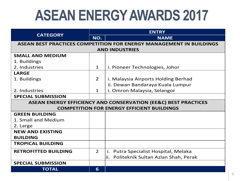### **ASEAN ENERGY AWARDS 2017**

|                             | <b>ENTRY</b>   |                                                                            |  |  |  |  |
|-----------------------------|----------------|----------------------------------------------------------------------------|--|--|--|--|
| <b>CATEGORY</b>             | NO.            | <b>NAME</b>                                                                |  |  |  |  |
|                             |                | <b>ASEAN BEST PRACTICES COMPETITION FOR ENERGY MANAGEMENT IN BUILDINGS</b> |  |  |  |  |
| <b>AND INDUSTRIES</b>       |                |                                                                            |  |  |  |  |
| <b>SMALL AND MEDIUM</b>     |                |                                                                            |  |  |  |  |
| 1. Buildings                |                |                                                                            |  |  |  |  |
| 2. Industries               | $\mathbf{1}$   | i. Pioneer Technologies, Johor                                             |  |  |  |  |
| <b>LARGE</b>                |                |                                                                            |  |  |  |  |
| 1. Buildings                | $\overline{2}$ | i. Malaysia Airports Holding Berhad                                        |  |  |  |  |
|                             |                | ii. Dewan Bandaraya Kuala Lumpur                                           |  |  |  |  |
| 2. Industries               | $\mathbf{1}$   | i. Omron Malaysia, Selangor                                                |  |  |  |  |
| <b>SPECIAL SUBMISSION</b>   |                |                                                                            |  |  |  |  |
|                             |                | <b>ASEAN ENERGY EFFICIENCY AND CONSERVATION (EE&amp;C) BEST PRACTICES</b>  |  |  |  |  |
|                             |                | <b>COMPETITION FOR ENERGY EFFICIENT BUILDINGS</b>                          |  |  |  |  |
| <b>GREEN BUILDING</b>       |                |                                                                            |  |  |  |  |
| 1. Small and Medium         |                |                                                                            |  |  |  |  |
| 2. Large                    |                |                                                                            |  |  |  |  |
| <b>NEW AND EXISTING</b>     |                |                                                                            |  |  |  |  |
| <b>BUILDING</b>             |                |                                                                            |  |  |  |  |
| <b>TROPICAL BUILDING</b>    |                |                                                                            |  |  |  |  |
| <b>RETROFITTED BUILDING</b> | $\overline{2}$ | i. Putra Specialist Hospital, Melaka                                       |  |  |  |  |
|                             |                | Politeknik Sultan Azlan Shah, Perak<br>ii.                                 |  |  |  |  |
| <b>SPECIAL SUBMISSION</b>   |                |                                                                            |  |  |  |  |
| <b>TOTAL</b>                | 6              |                                                                            |  |  |  |  |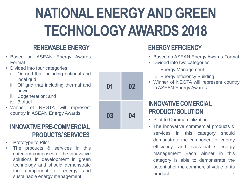## **NATIONAL ENERGY AND GREEN TECHNOLOGY AWARDS 2018**

### **RENEWABLE ENERGY**

- Based on ASEAN Energy Awards Format
- Divided into four categories:
	- i. On-grid that including national and local grid;
	- ii. Off grid that including thermal and power;
	- iii. Cogeneration; and
	- iv. Biofuel
- Winner of NEGTA will represent country in ASEAN Energy Awards

### **INNOVATIVE PRE-COMMERCIAL PRODUCTS/ SERVICES**

- Prototype to Pilot
- The products & services in this category comprises of the innovative solutions in development in green technology and should demonstrate the component of energy and sustainable energy management

| 01 | 02 |
|----|----|
| 03 | 04 |

### **ENERGY EFFICIENCY**

- Based on ASEAN Energy Awards Format
- Divided into two categories:
	- i. Energy Management
	- ii. Energy efficiency Building
- Winner of NEGTA will represent country in ASEAN Energy Awards

### **INNOVATIVE COMERCIAL PRODUCT/ SOLUTION**

- Pilot to Commercialization
- The innovative commercial products & services in this category should demonstrate the component of energy efficiency and sustainable energy management Each winner in this category is able to demonstrate the potential of the commercial value of its product.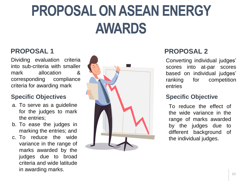### **PROPOSAL ON ASEAN ENERGY AWARDS**

### **PROPOSAL 1**

Dividing evaluation criteria into sub-criteria with smaller mark allocation & corresponding compliance criteria for awarding mark

#### **Specific Objectives**

- a. To serve as a guideline for the judges to mark the entries;
- b. To ease the judges in marking the entries; and
- c. To reduce the wide variance in the range of marks awarded by the judges due to broad criteria and wide latitude in awarding marks.



### **PROPOSAL 2**

Converting individual judges' scores into at-par scores based on individual judges' ranking for competition entries

#### **Specific Objective**

To reduce the effect of the wide variance in the range of marks awarded by the judges due to different background of the individual judges.